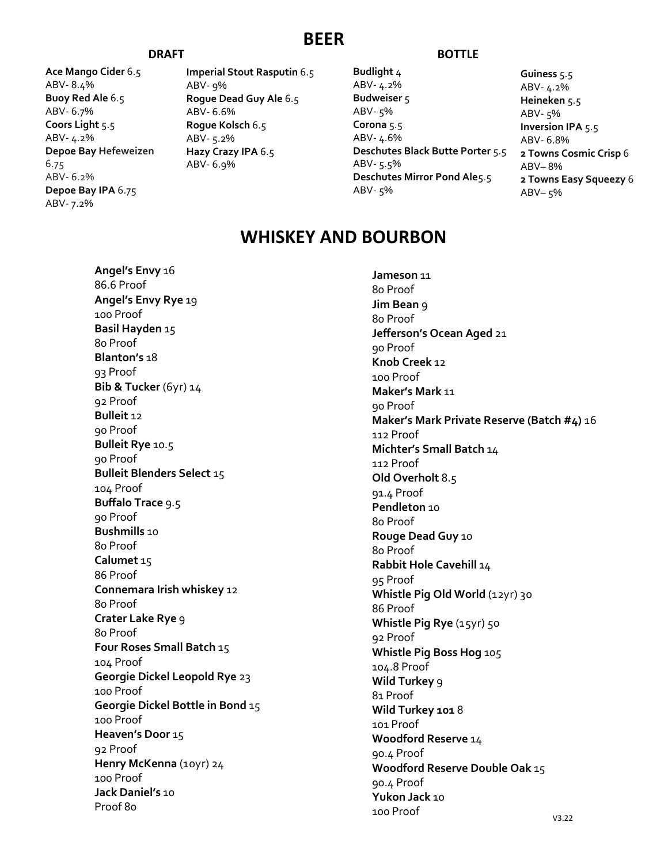#### **BEER**

**Ace Mango Cider** 6.5 ABV- 8.4% **Buoy Red Ale** 6.5 ABV- 6.7% **Coors Light** 5.5 ABV- 4.2% **Depoe Bay Hefeweizen**  6.75 ABV- 6.2% **Depoe Bay IPA** 6.75 ABV- 7.2%

**Imperial Stout Rasputin** 6.5 ABV- 9% **Rogue Dead Guy Ale** 6.5 ABV- 6.6% **Rogue Kolsch** 6.5 ABV- 5.2% **Hazy Crazy IPA** 6.5 ABV- 6.9%

#### **DRAFT BOTTLE**

**Budlight** 4 ABV- 4.2% **Budweiser** 5 ABV- 5% **Corona** 5.5 ABV- 4.6% **Deschutes Black Butte Porter** 5.5 ABV- 5.5% **Deschutes Mirror Pond Ale**5.5 ABV- 5%

**Guiness** 5.5 ABV- 4.2% **Heineken** 5.5 ABV- 5% **Inversion IPA** 5.5 ABV- 6.8% **2 Towns Cosmic Crisp** 6 ABV– 8% **2 Towns Easy Squeezy** 6 ABV– 5%

### **WHISKEY AND BOURBON**

**Angel's Envy** 16 86.6 Proof **Angel's Envy Rye** 19 100 Proof **Basil Hayden** 15 80 Proof **Blanton's** 18 93 Proof **Bib & Tucker** (6yr) 14 92 Proof **Bulleit** 12 90 Proof **Bulleit Rye** 10.5 90 Proof **Bulleit Blenders Select** 15 104 Proof **Buffalo Trace** 9.5 90 Proof **Bushmills** 10 80 Proof **Calumet** 15 86 Proof **Connemara Irish whiskey** 12 80 Proof **Crater Lake Rye** 9 80 Proof **Four Roses Small Batch** 15 104 Proof **Georgie Dickel Leopold Rye** 23 100 Proof **Georgie Dickel Bottle in Bond** 15 100 Proof **Heaven's Door** 15 92 Proof **Henry McKenna** (10yr) 24 100 Proof **Jack Daniel's** 10 Proof 80

**Jameson** 11 80 Proof **Jim Bean** 9 80 Proof **Jefferson's Ocean Aged** 21 90 Proof **Knob Creek** 12 100 Proof **Maker's Mark** 11 90 Proof **Maker's Mark Private Reserve (Batch #4)** 16 112 Proof **Michter's Small Batch** 14 112 Proof **Old Overholt** 8.5 91.4 Proof **Pendleton** 10 80 Proof **Rouge Dead Guy** 10 80 Proof **Rabbit Hole Cavehill** 14 95 Proof Whistle Pig Old World (12yr) 30 86 Proof **Whistle Pig Rye** (15yr) 50 92 Proof **Whistle Pig Boss Hog** 105 104.8 Proof **Wild Turkey** 9 81 Proof **Wild Turkey 101** 8 101 Proof **Woodford Reserve** 14 90.4 Proof **Woodford Reserve Double Oak** 15 90.4 Proof **Yukon Jack** 10 100 Proof